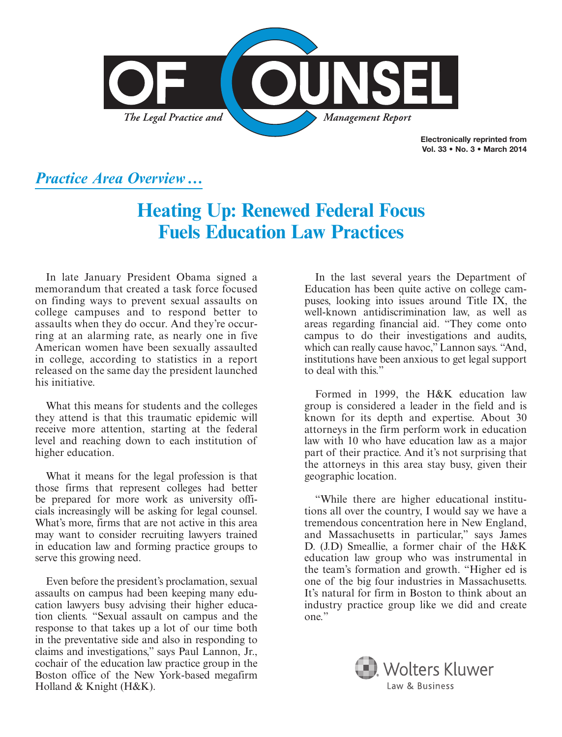

Electronically reprinted from Vol. 33 • No. 3 • March 2014

### *Practice Area Overview***…**

# **Heating Up: Renewed Federal Focus Fuels Education Law Practices**

In late January President Obama signed a memorandum that created a task force focused on finding ways to prevent sexual assaults on college campuses and to respond better to assaults when they do occur. And they're occurring at an alarming rate, as nearly one in five American women have been sexually assaulted in college, according to statistics in a report released on the same day the president launched his initiative.

What this means for students and the colleges they attend is that this traumatic epidemic will receive more attention, starting at the federal level and reaching down to each institution of higher education.

What it means for the legal profession is that those firms that represent colleges had better be prepared for more work as university officials increasingly will be asking for legal counsel. What's more, firms that are not active in this area may want to consider recruiting lawyers trained in education law and forming practice groups to serve this growing need.

Even before the president's proclamation, sexual assaults on campus had been keeping many education lawyers busy advising their higher education clients. "Sexual assault on campus and the response to that takes up a lot of our time both in the preventative side and also in responding to claims and investigations," says Paul Lannon, Jr., cochair of the education law practice group in the Boston office of the New York-based megafirm Holland & Knight (H&K).

In the last several years the Department of Education has been quite active on college campuses, looking into issues around Title IX, the well-known antidiscrimination law, as well as areas regarding financial aid. "They come onto campus to do their investigations and audits, which can really cause havoc," Lannon says. "And, institutions have been anxious to get legal support to deal with this."

Formed in 1999, the H&K education law group is considered a leader in the field and is known for its depth and expertise. About 30 attorneys in the firm perform work in education law with 10 who have education law as a major part of their practice. And it's not surprising that the attorneys in this area stay busy, given their geographic location.

"While there are higher educational institutions all over the country, I would say we have a tremendous concentration here in New England, and Massachusetts in particular," says James D. (J.D) Smeallie, a former chair of the H&K education law group who was instrumental in the team's formation and growth. "Higher ed is one of the big four industries in Massachusetts. It's natural for firm in Boston to think about an industry practice group like we did and create one."

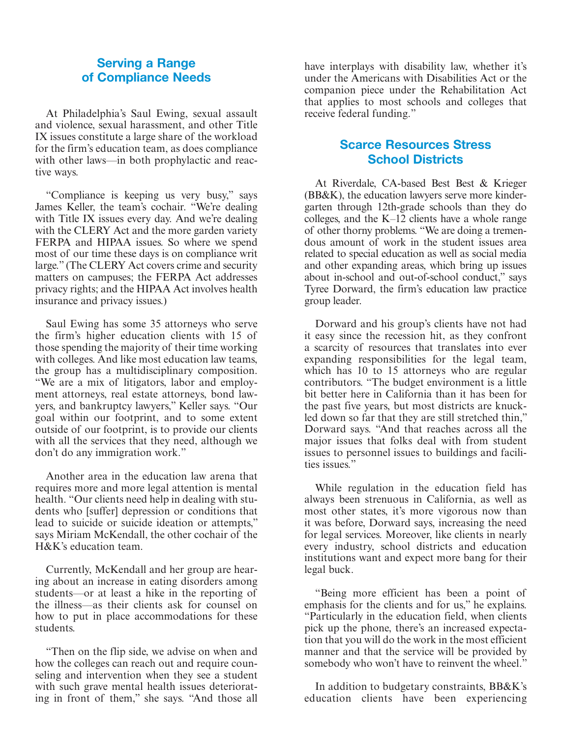#### Serving a Range of Compliance Needs

At Philadelphia's Saul Ewing, sexual assault and violence, sexual harassment, and other Title IX issues constitute a large share of the workload for the firm's education team, as does compliance with other laws—in both prophylactic and reactive ways.

"Compliance is keeping us very busy," says James Keller, the team's cochair. "We're dealing with Title IX issues every day. And we're dealing with the CLERY Act and the more garden variety FERPA and HIPAA issues. So where we spend most of our time these days is on compliance writ large." (The CLERY Act covers crime and security matters on campuses; the FERPA Act addresses privacy rights; and the HIPAA Act involves health insurance and privacy issues.)

Saul Ewing has some 35 attorneys who serve the firm's higher education clients with 15 of those spending the majority of their time working with colleges. And like most education law teams, the group has a multidisciplinary composition. "We are a mix of litigators, labor and employment attorneys, real estate attorneys, bond lawyers, and bankruptcy lawyers," Keller says. "Our goal within our footprint, and to some extent outside of our footprint, is to provide our clients with all the services that they need, although we don't do any immigration work."

Another area in the education law arena that requires more and more legal attention is mental health. "Our clients need help in dealing with students who [suffer] depression or conditions that lead to suicide or suicide ideation or attempts," says Miriam McKendall, the other cochair of the H&K's education team.

Currently, McKendall and her group are hearing about an increase in eating disorders among students—or at least a hike in the reporting of the illness—as their clients ask for counsel on how to put in place accommodations for these students.

"Then on the flip side, we advise on when and how the colleges can reach out and require counseling and intervention when they see a student with such grave mental health issues deteriorating in front of them," she says. "And those all

have interplays with disability law, whether it's under the Americans with Disabilities Act or the companion piece under the Rehabilitation Act that applies to most schools and colleges that receive federal funding."

#### Scarce Resources Stress School Districts

At Riverdale, CA-based Best Best & Krieger (BB&K), the education lawyers serve more kindergarten through 12th-grade schools than they do colleges, and the K–12 clients have a whole range of other thorny problems. "We are doing a tremendous amount of work in the student issues area related to special education as well as social media and other expanding areas, which bring up issues about in-school and out-of-school conduct," says Tyree Dorward, the firm's education law practice group leader.

Dorward and his group's clients have not had it easy since the recession hit, as they confront a scarcity of resources that translates into ever expanding responsibilities for the legal team, which has 10 to 15 attorneys who are regular contributors. "The budget environment is a little bit better here in California than it has been for the past five years, but most districts are knuckled down so far that they are still stretched thin," Dorward says. "And that reaches across all the major issues that folks deal with from student issues to personnel issues to buildings and facilities issues."

While regulation in the education field has always been strenuous in California, as well as most other states, it's more vigorous now than it was before, Dorward says, increasing the need for legal services. Moreover, like clients in nearly every industry, school districts and education institutions want and expect more bang for their legal buck.

"Being more efficient has been a point of emphasis for the clients and for us," he explains. "Particularly in the education field, when clients pick up the phone, there's an increased expectation that you will do the work in the most efficient manner and that the service will be provided by somebody who won't have to reinvent the wheel."

In addition to budgetary constraints, BB&K's education clients have been experiencing